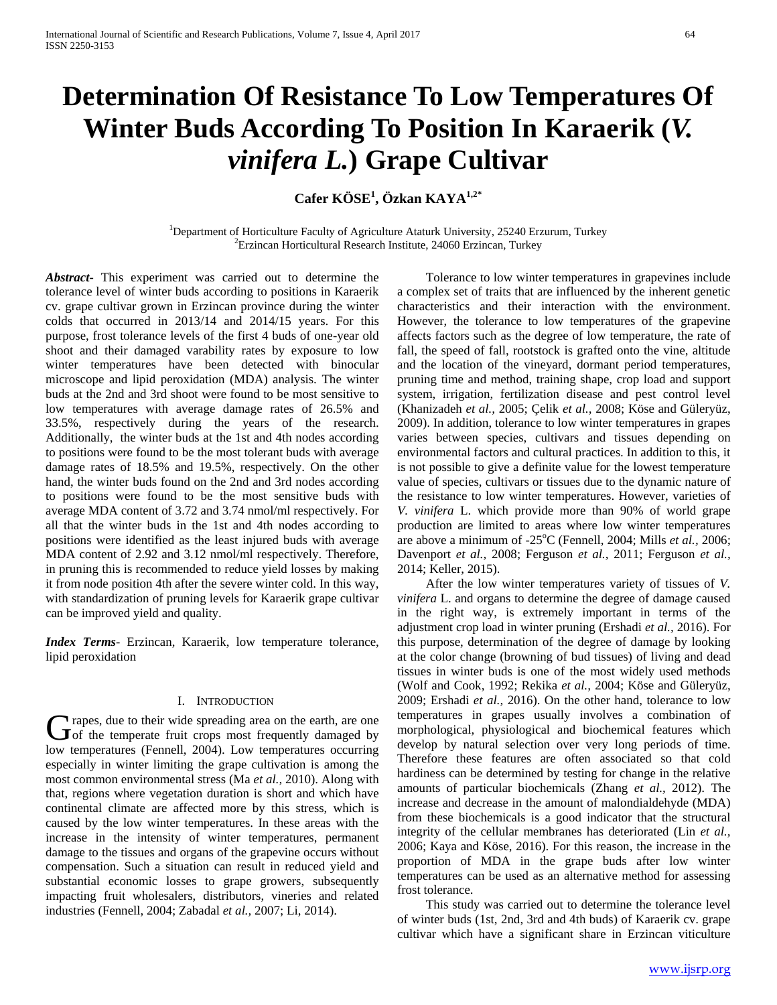# **Determination Of Resistance To Low Temperatures Of Winter Buds According To Position In Karaerik (***V. vinifera L.***) Grape Cultivar**

# **Cafer KÖSE<sup>1</sup> , Özkan KAYA1,2\***

<sup>1</sup>Department of Horticulture Faculty of Agriculture Ataturk University, 25240 Erzurum, Turkey  ${}^{2}$ Erzincan Horticultural Research Institute, 24060 Erzincan, Turkey

*Abstract***-** This experiment was carried out to determine the tolerance level of winter buds according to positions in Karaerik cv. grape cultivar grown in Erzincan province during the winter colds that occurred in 2013/14 and 2014/15 years. For this purpose, frost tolerance levels of the first 4 buds of one-year old shoot and their damaged varability rates by exposure to low winter temperatures have been detected with binocular microscope and lipid peroxidation (MDA) analysis. The winter buds at the 2nd and 3rd shoot were found to be most sensitive to low temperatures with average damage rates of 26.5% and 33.5%, respectively during the years of the research. Additionally, the winter buds at the 1st and 4th nodes according to positions were found to be the most tolerant buds with average damage rates of 18.5% and 19.5%, respectively. On the other hand, the winter buds found on the 2nd and 3rd nodes according to positions were found to be the most sensitive buds with average MDA content of 3.72 and 3.74 nmol/ml respectively. For all that the winter buds in the 1st and 4th nodes according to positions were identified as the least injured buds with average MDA content of 2.92 and 3.12 nmol/ml respectively. Therefore, in pruning this is recommended to reduce yield losses by making it from node position 4th after the severe winter cold. In this way, with standardization of pruning levels for Karaerik grape cultivar can be improved yield and quality.

*Index Terms*- Erzincan, Karaerik, low temperature tolerance, lipid peroxidation

#### I. INTRODUCTION

If rapes, due to their wide spreading area on the earth, are one Grapes, due to their wide spreading area on the earth, are one of the temperate fruit crops most frequently damaged by low temperatures (Fennell, 2004). Low temperatures occurring especially in winter limiting the grape cultivation is among the most common environmental stress (Ma *et al.,* 2010). Along with that, regions where vegetation duration is short and which have continental climate are affected more by this stress, which is caused by the low winter temperatures. In these areas with the increase in the intensity of winter temperatures, permanent damage to the tissues and organs of the grapevine occurs without compensation. Such a situation can result in reduced yield and substantial economic losses to grape growers, subsequently impacting fruit wholesalers, distributors, vineries and related industries (Fennell, 2004; Zabadal *et al.,* 2007; Li, 2014).

 Tolerance to low winter temperatures in grapevines include a complex set of traits that are influenced by the inherent genetic characteristics and their interaction with the environment. However, the tolerance to low temperatures of the grapevine affects factors such as the degree of low temperature, the rate of fall, the speed of fall, rootstock is grafted onto the vine, altitude and the location of the vineyard, dormant period temperatures, pruning time and method, training shape, crop load and support system, irrigation, fertilization disease and pest control level (Khanizadeh *et al.,* 2005; Çelik *et al.,* 2008; Köse and Güleryüz, 2009). In addition, tolerance to low winter temperatures in grapes varies between species, cultivars and tissues depending on environmental factors and cultural practices. In addition to this, it is not possible to give a definite value for the lowest temperature value of species, cultivars or tissues due to the dynamic nature of the resistance to low winter temperatures. However, varieties of *V. vinifera* L. which provide more than 90% of world grape production are limited to areas where low winter temperatures are above a minimum of -25<sup>o</sup>C (Fennell, 2004; Mills *et al.*, 2006; Davenport *et al.,* 2008; Ferguson *et al.,* 2011; Ferguson *et al.,* 2014; Keller, 2015).

 After the low winter temperatures variety of tissues of *V. vinifera* L. and organs to determine the degree of damage caused in the right way, is extremely important in terms of the adjustment crop load in winter pruning (Ershadi *et al.,* 2016). For this purpose, determination of the degree of damage by looking at the color change (browning of bud tissues) of living and dead tissues in winter buds is one of the most widely used methods (Wolf and Cook, 1992; Rekika *et al.,* 2004; Köse and Güleryüz, 2009; Ershadi *et al.,* 2016). On the other hand, tolerance to low temperatures in grapes usually involves a combination of morphological, physiological and biochemical features which develop by natural selection over very long periods of time. Therefore these features are often associated so that cold hardiness can be determined by testing for change in the relative amounts of particular biochemicals (Zhang *et al.,* 2012). The increase and decrease in the amount of malondialdehyde (MDA) from these biochemicals is a good indicator that the structural integrity of the cellular membranes has deteriorated (Lin *et al.,* 2006; Kaya and Köse, 2016). For this reason, the increase in the proportion of MDA in the grape buds after low winter temperatures can be used as an alternative method for assessing frost tolerance.

 This study was carried out to determine the tolerance level of winter buds (1st, 2nd, 3rd and 4th buds) of Karaerik cv. grape cultivar which have a significant share in Erzincan viticulture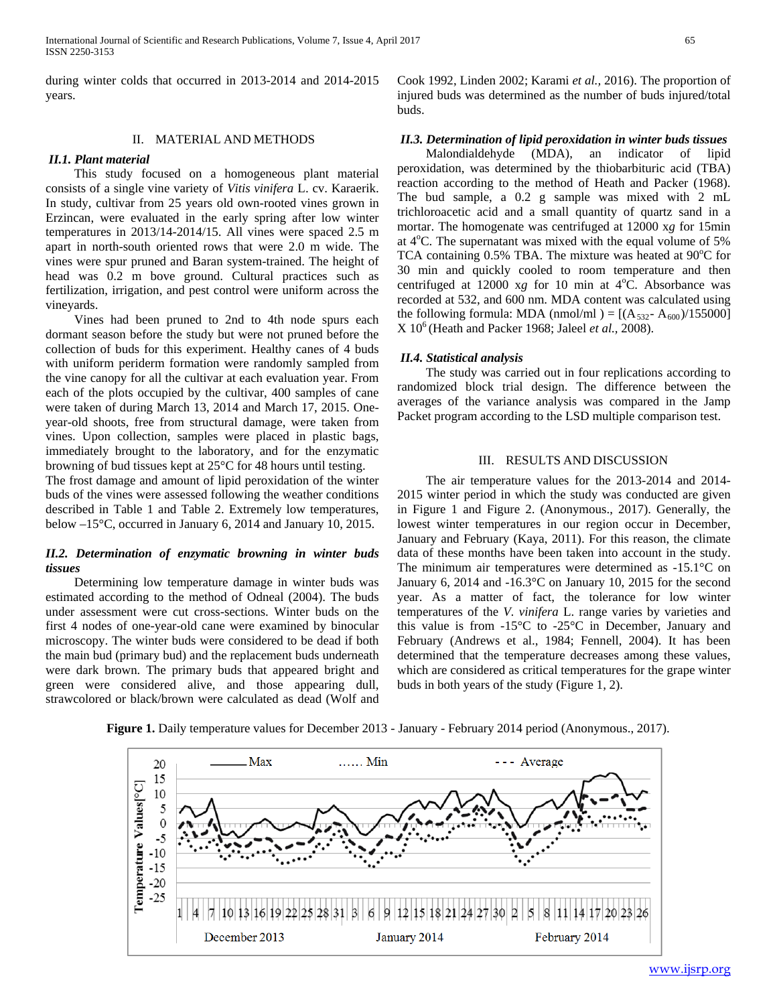during winter colds that occurred in 2013-2014 and 2014-2015 years.

### II. MATERIAL AND METHODS

#### *II.1. Plant material*

 This study focused on a homogeneous plant material consists of a single vine variety of *Vitis vinifera* L. cv. Karaerik. In study, cultivar from 25 years old own-rooted vines grown in Erzincan, were evaluated in the early spring after low winter temperatures in 2013/14-2014/15. All vines were spaced 2.5 m apart in north-south oriented rows that were 2.0 m wide. The vines were spur pruned and Baran system-trained. The height of head was 0.2 m bove ground. Cultural practices such as fertilization, irrigation, and pest control were uniform across the vineyards.

 Vines had been pruned to 2nd to 4th node spurs each dormant season before the study but were not pruned before the collection of buds for this experiment. Healthy canes of 4 buds with uniform periderm formation were randomly sampled from the vine canopy for all the cultivar at each evaluation year. From each of the plots occupied by the cultivar, 400 samples of cane were taken of during March 13, 2014 and March 17, 2015. Oneyear-old shoots, free from structural damage, were taken from vines. Upon collection, samples were placed in plastic bags, immediately brought to the laboratory, and for the enzymatic browning of bud tissues kept at 25°C for 48 hours until testing.

The frost damage and amount of lipid peroxidation of the winter buds of the vines were assessed following the weather conditions described in Table 1 and Table 2. Extremely low temperatures, below –15°C, occurred in January 6, 2014 and January 10, 2015.

# *II.2. Determination of enzymatic browning in winter buds tissues*

 Determining low temperature damage in winter buds was estimated according to the method of Odneal (2004). The buds under assessment were cut cross-sections. Winter buds on the first 4 nodes of one-year-old cane were examined by binocular microscopy. The winter buds were considered to be dead if both the main bud (primary bud) and the replacement buds underneath were dark brown. The primary buds that appeared bright and green were considered alive, and those appearing dull, strawcolored or black/brown were calculated as dead (Wolf and

Cook 1992, Linden 2002; Karami *et al.,* 2016). The proportion of injured buds was determined as the number of buds injured/total buds.

## *II.3. Determination of lipid peroxidation in winter buds tissues*

 Malondialdehyde (MDA), an indicator of lipid peroxidation, was determined by the thiobarbituric acid (TBA) reaction according to the method of Heath and Packer (1968). The bud sample, a 0.2 g sample was mixed with 2 mL trichloroacetic acid and a small quantity of quartz sand in a mortar. The homogenate was centrifuged at 12000 x*g* for 15min at 4°C. The supernatant was mixed with the equal volume of 5% TCA containing  $0.5\%$  TBA. The mixture was heated at  $90^{\circ}$ C for 30 min and quickly cooled to room temperature and then centrifuged at  $12000$  xg for 10 min at  $4^{\circ}$ C. Absorbance was recorded at 532, and 600 nm. MDA content was calculated using the following formula: MDA (nmol/ml) =  $[(A_{532} - A_{600})/155000]$ X 106 (Heath and Packer 1968; Jaleel *et al.,* 2008).

#### *II.4. Statistical analysis*

 The study was carried out in four replications according to randomized block trial design. The difference between the averages of the variance analysis was compared in the Jamp Packet program according to the LSD multiple comparison test.

# III. RESULTS AND DISCUSSION

 The air temperature values for the 2013-2014 and 2014- 2015 winter period in which the study was conducted are given in Figure 1 and Figure 2. (Anonymous., 2017). Generally, the lowest winter temperatures in our region occur in December, January and February (Kaya, 2011). For this reason, the climate data of these months have been taken into account in the study. The minimum air temperatures were determined as -15.1°C on January 6, 2014 and -16.3°C on January 10, 2015 for the second year. As a matter of fact, the tolerance for low winter temperatures of the *V. vinifera* L. range varies by varieties and this value is from -15°C to -25°C in December, January and February (Andrews et al., 1984; Fennell, 2004). It has been determined that the temperature decreases among these values, which are considered as critical temperatures for the grape winter buds in both years of the study (Figure 1, 2).



**Figure 1.** Daily temperature values for December 2013 - January - February 2014 period (Anonymous., 2017).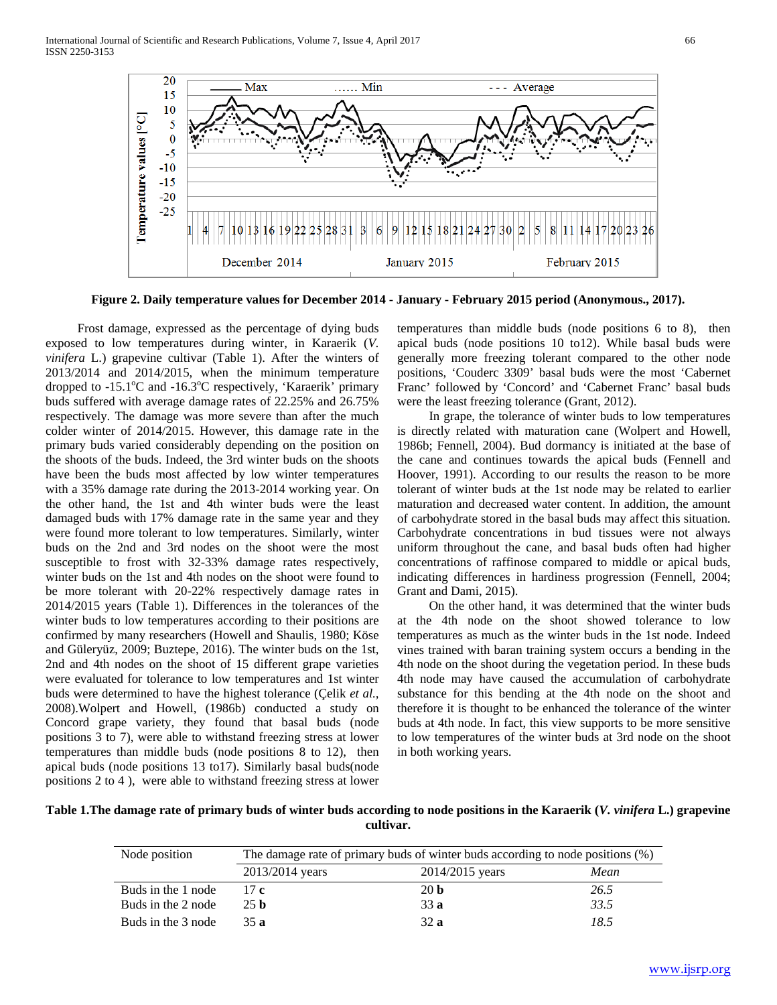International Journal of Scientific and Research Publications, Volume 7, Issue 4, April 2017 66 ISSN 2250-3153



**Figure 2. Daily temperature values for December 2014 - January - February 2015 period (Anonymous., 2017).**

 Frost damage, expressed as the percentage of dying buds exposed to low temperatures during winter, in Karaerik (*V. vinifera* L.) grapevine cultivar (Table 1). After the winters of 2013/2014 and 2014/2015, when the minimum temperature dropped to -15.1°C and -16.3°C respectively, 'Karaerik' primary buds suffered with average damage rates of 22.25% and 26.75% respectively. The damage was more severe than after the much colder winter of 2014/2015. However, this damage rate in the primary buds varied considerably depending on the position on the shoots of the buds. Indeed, the 3rd winter buds on the shoots have been the buds most affected by low winter temperatures with a 35% damage rate during the 2013-2014 working year. On the other hand, the 1st and 4th winter buds were the least damaged buds with 17% damage rate in the same year and they were found more tolerant to low temperatures. Similarly, winter buds on the 2nd and 3rd nodes on the shoot were the most susceptible to frost with 32-33% damage rates respectively, winter buds on the 1st and 4th nodes on the shoot were found to be more tolerant with 20-22% respectively damage rates in 2014/2015 years (Table 1). Differences in the tolerances of the winter buds to low temperatures according to their positions are confirmed by many researchers (Howell and Shaulis, 1980; Köse and Güleryüz, 2009; Buztepe, 2016). The winter buds on the 1st, 2nd and 4th nodes on the shoot of 15 different grape varieties were evaluated for tolerance to low temperatures and 1st winter buds were determined to have the highest tolerance (Çelik *et al.,* 2008).Wolpert and Howell, (1986b) conducted a study on Concord grape variety, they found that basal buds (node positions 3 to 7), were able to withstand freezing stress at lower temperatures than middle buds (node positions 8 to 12), then apical buds (node positions 13 to17). Similarly basal buds(node positions 2 to 4 ), were able to withstand freezing stress at lower

temperatures than middle buds (node positions 6 to 8), then apical buds (node positions 10 to12). While basal buds were generally more freezing tolerant compared to the other node positions, 'Couderc 3309' basal buds were the most 'Cabernet Franc' followed by 'Concord' and 'Cabernet Franc' basal buds were the least freezing tolerance (Grant, 2012).

 In grape, the tolerance of winter buds to low temperatures is directly related with maturation cane (Wolpert and Howell, 1986b; Fennell, 2004). Bud dormancy is initiated at the base of the cane and continues towards the apical buds (Fennell and Hoover, 1991). According to our results the reason to be more tolerant of winter buds at the 1st node may be related to earlier maturation and decreased water content. In addition, the amount of carbohydrate stored in the basal buds may affect this situation. Carbohydrate concentrations in bud tissues were not always uniform throughout the cane, and basal buds often had higher concentrations of raffinose compared to middle or apical buds, indicating differences in hardiness progression (Fennell, 2004; Grant and Dami, 2015).

 On the other hand, it was determined that the winter buds at the 4th node on the shoot showed tolerance to low temperatures as much as the winter buds in the 1st node. Indeed vines trained with baran training system occurs a bending in the 4th node on the shoot during the vegetation period. In these buds 4th node may have caused the accumulation of carbohydrate substance for this bending at the 4th node on the shoot and therefore it is thought to be enhanced the tolerance of the winter buds at 4th node. In fact, this view supports to be more sensitive to low temperatures of the winter buds at 3rd node on the shoot in both working years.

# **Table 1.The damage rate of primary buds of winter buds according to node positions in the Karaerik (***V. vinifera* **L.) grapevine cultivar.**

| Node position      | The damage rate of primary buds of winter buds according to node positions (%) |                 |      |  |
|--------------------|--------------------------------------------------------------------------------|-----------------|------|--|
|                    | 2013/2014 years                                                                | 2014/2015 years | Mean |  |
| Buds in the 1 node | 17c                                                                            | 20 <sub>b</sub> | 26.5 |  |
| Buds in the 2 node | 25 <sub>b</sub>                                                                | 33a             | 33.5 |  |
| Buds in the 3 node | 35 a                                                                           | 32 a            | 18.5 |  |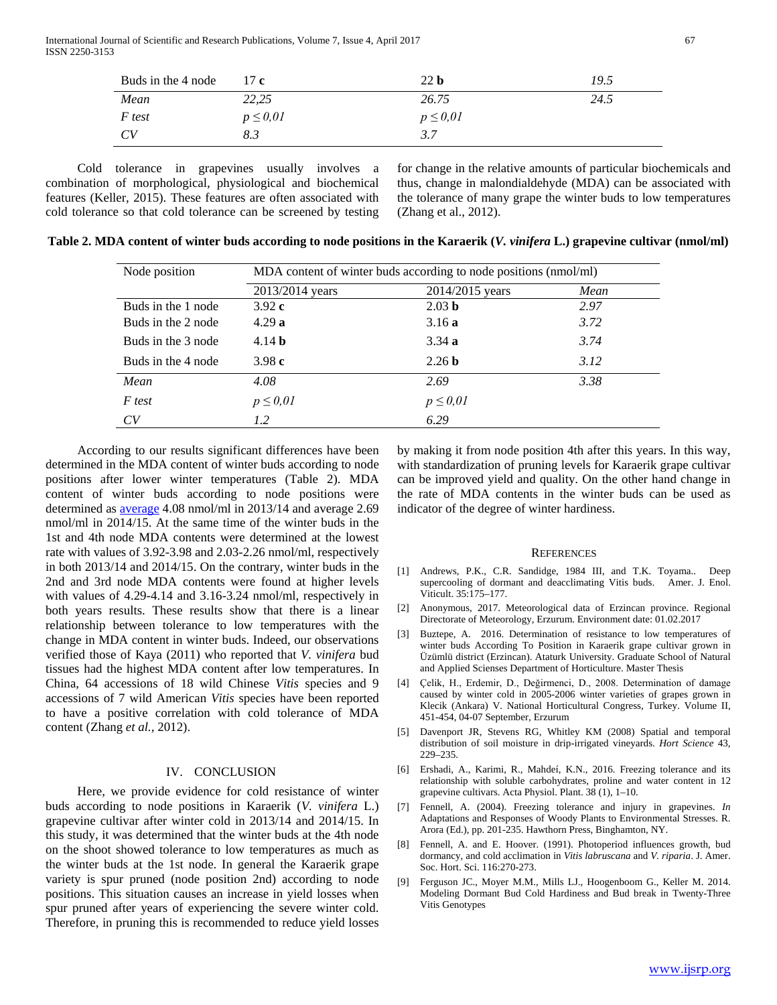International Journal of Scientific and Research Publications, Volume 7, Issue 4, April 2017 67 ISSN 2250-3153

| Buds in the 4 node | 17c           | 22 <sub>b</sub> | 19.5 |
|--------------------|---------------|-----------------|------|
| Mean               | 22,25         | 26.75           | 24.5 |
| F test             | $p \leq 0.01$ | $p \leq 0.01$   |      |
| CV                 | 8.3           | 3.7             |      |

 Cold tolerance in grapevines usually involves a combination of morphological, physiological and biochemical features (Keller, 2015). These features are often associated with cold tolerance so that cold tolerance can be screened by testing

for change in the relative amounts of particular biochemicals and thus, change in malondialdehyde (MDA) can be associated with the tolerance of many grape the winter buds to low temperatures (Zhang et al., 2012).

| Node position      | MDA content of winter buds according to node positions (nmol/ml) |                   |      |  |
|--------------------|------------------------------------------------------------------|-------------------|------|--|
|                    | 2013/2014 years                                                  | 2014/2015 years   | Mean |  |
| Buds in the 1 node | 3.92c                                                            | 2.03 <sub>b</sub> | 2.97 |  |
| Buds in the 2 node | 4.29a                                                            | 3.16a             | 3.72 |  |
| Buds in the 3 node | 4.14 <sub>b</sub>                                                | 3.34a             | 3.74 |  |
| Buds in the 4 node | 3.98 $c$                                                         | 2.26 <sub>b</sub> | 3.12 |  |
| Mean               | 4.08                                                             | 2.69              | 3.38 |  |
| F test             | $p \leq 0.01$                                                    | $p \leq 0.01$     |      |  |
| CV                 | 1.2                                                              | 6.29              |      |  |

**Table 2. MDA content of winter buds according to node positions in the Karaerik (***V. vinifera* **L.) grapevine cultivar (nmol/ml)**

 According to our results significant differences have been determined in the MDA content of winter buds according to node positions after lower winter temperatures (Table 2). MDA content of winter buds according to node positions were determined as [average](javascript:void(0)) 4.08 nmol/ml in 2013/14 and average 2.69 nmol/ml in 2014/15. At the same time of the winter buds in the 1st and 4th node MDA contents were determined at the lowest rate with values of 3.92-3.98 and 2.03-2.26 nmol/ml, respectively in both 2013/14 and 2014/15. On the contrary, winter buds in the 2nd and 3rd node MDA contents were found at higher levels with values of 4.29-4.14 and 3.16-3.24 nmol/ml, respectively in both years results. These results show that there is a linear relationship between tolerance to low temperatures with the change in MDA content in winter buds. Indeed, our observations verified those of Kaya (2011) who reported that *V. vinifera* bud tissues had the highest MDA content after low temperatures. In China, 64 accessions of 18 wild Chinese *Vitis* species and 9 accessions of 7 wild American *Vitis* species have been reported to have a positive correlation with cold tolerance of MDA content (Zhang *et al.,* 2012).

#### IV. CONCLUSION

 Here, we provide evidence for cold resistance of winter buds according to node positions in Karaerik (*V. vinifera* L.) grapevine cultivar after winter cold in 2013/14 and 2014/15. In this study, it was determined that the winter buds at the 4th node on the shoot showed tolerance to low temperatures as much as the winter buds at the 1st node. In general the Karaerik grape variety is spur pruned (node position 2nd) according to node positions. This situation causes an increase in yield losses when spur pruned after years of experiencing the severe winter cold. Therefore, in pruning this is recommended to reduce yield losses by making it from node position 4th after this years. In this way, with standardization of pruning levels for Karaerik grape cultivar can be improved yield and quality. On the other hand change in the rate of MDA contents in the winter buds can be used as indicator of the degree of winter hardiness.

#### **REFERENCES**

- [1] Andrews, P.K., C.R. Sandidge, 1984 III, and T.K. Toyama.. Deep supercooling of dormant and deacclimating Vitis buds. Amer. J. Enol. Viticult. 35:175–177.
- [2] Anonymous, 2017. Meteorological data of Erzincan province. Regional Directorate of Meteorology, Erzurum. Environment date: 01.02.2017
- [3] Buztepe, A. 2016. Determination of resistance to low temperatures of winter buds According To Position in Karaerik grape cultivar grown in Üzümlü district (Erzincan). Ataturk University. Graduate School of Natural and Applied Scienses Department of Horticulture. Master Thesis
- [4] Çelik, H., Erdemir, D., Değirmenci, D., 2008. Determination of damage caused by winter cold in 2005-2006 winter varieties of grapes grown in Klecik (Ankara) V. National Horticultural Congress, Turkey. Volume II, 451-454, 04-07 September, Erzurum
- [5] Davenport JR, Stevens RG, Whitley KM (2008) Spatial and temporal distribution of soil moisture in drip-irrigated vineyards. *Hort Science* 43, 229–235.
- [6] Ershadi, A., Karimi, R., Mahdeí, K.N., 2016. Freezing tolerance and its relationship with soluble carbohydrates, proline and water content in 12 grapevine cultivars. Acta Physiol. Plant. 38 (1), 1–10.
- [7] Fennell, A. (2004). Freezing tolerance and injury in grapevines. *In*  Adaptations and Responses of Woody Plants to Environmental Stresses. R. Arora (Ed.), pp. 201-235. Hawthorn Press, Binghamton, NY.
- [8] Fennell, A. and E. Hoover. (1991). Photoperiod influences growth, bud dormancy, and cold acclimation in *Vitis labruscana* and *V. riparia*. J. Amer. Soc. Hort. Sci. 116:270-273.
- [9] Ferguson JC., Moyer M.M., Mills LJ., Hoogenboom G., Keller M. 2014. Modeling Dormant Bud Cold Hardiness and Bud break in Twenty-Three Vitis Genotypes